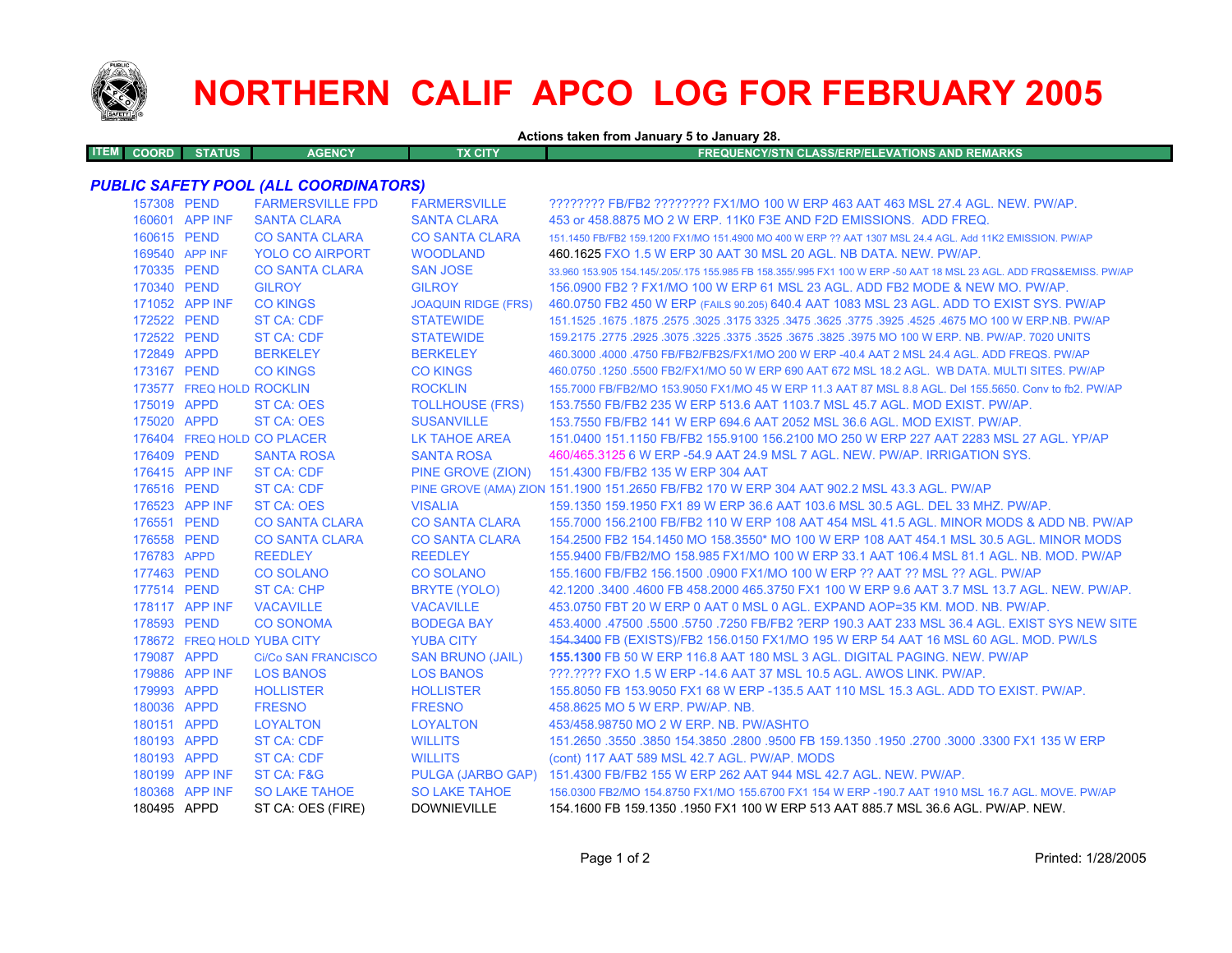

## **NORTHERN CALIF APCO LOG FOR FEBRUARY 2005**

**Actions taken from January 5 to January 28.**

**ITEMCOORD STATUS AGENCY TX CITY FREQUENCY/STN CLASS/ERP/ELEVATIONS AND REMARKS**

## *PUBLIC SAFETY POOL (ALL COORDINATORS)*

| 157308 PEND |                          | <b>FARMERSVILLE FPD</b>    | <b>FARMERSVILLE</b>        | ???????? FB/FB2 ???????? FX1/MO 100 W ERP 463 AAT 463 MSL 27.4 AGL. NEW. PW/AP.                                     |
|-------------|--------------------------|----------------------------|----------------------------|---------------------------------------------------------------------------------------------------------------------|
|             | 160601 APP INF           | <b>SANTA CLARA</b>         | <b>SANTA CLARA</b>         | 453 or 458,8875 MO 2 W ERP, 11K0 F3E AND F2D EMISSIONS. ADD FREQ.                                                   |
| 160615 PEND |                          | <b>CO SANTA CLARA</b>      | <b>CO SANTA CLARA</b>      | 151.1450 FB/FB2 159.1200 FX1/MO 151.4900 MO 400 W ERP ?? AAT 1307 MSL 24.4 AGL. Add 11K2 EMISSION, PW/AP            |
|             | 169540 APP INF           | <b>YOLO CO AIRPORT</b>     | <b>WOODLAND</b>            | 460.1625 FXO 1.5 W ERP 30 AAT 30 MSL 20 AGL. NB DATA. NEW. PW/AP.                                                   |
| 170335 PEND |                          | <b>CO SANTA CLARA</b>      | <b>SAN JOSE</b>            | 33,960 153,905 154,145/.205/.175 155,985 FB 158,355/.995 FX1 100 W ERP -50 AAT 18 MSL 23 AGL, ADD FRQS&EMISS, PW/AP |
| 170340 PEND |                          | <b>GILROY</b>              | <b>GILROY</b>              | 156,0900 FB2 ? FX1/MO 100 W ERP 61 MSL 23 AGL. ADD FB2 MODE & NEW MO, PW/AP.                                        |
|             | 171052 APP INF           | <b>CO KINGS</b>            | <b>JOAQUIN RIDGE (FRS)</b> | 460.0750 FB2 450 W ERP (FAILS 90.205) 640.4 AAT 1083 MSL 23 AGL. ADD TO EXIST SYS. PW/AP                            |
| 172522 PEND |                          | <b>ST CA: CDF</b>          | <b>STATEWIDE</b>           | 151.1525 .1675 .1675 .3625 .3775 .3925 .3925 .3775 .3925 .3775 .3925 .3775 .3925 .1675 .1677 .1625 .1679 .167       |
| 172522 PEND |                          | <b>ST CA: CDF</b>          | <b>STATEWIDE</b>           | 159,2175,2775,2925,3075,3225,3375,3525,3675,3825,3975 MO 100 W ERP, NB, PW/AP, 7020 UNITS                           |
| 172849 APPD |                          | <b>BERKELEY</b>            | <b>BERKELEY</b>            | 460.3000 .4000 .4750 FB/FB2/FB2S/FX1/MO 200 W ERP -40.4 AAT 2 MSL 24.4 AGL. ADD FREQS. PW/AP                        |
| 173167 PEND |                          | <b>CO KINGS</b>            | <b>CO KINGS</b>            | 460.0750 .1250 .5500 FB2/FX1/MO 50 W ERP 690 AAT 672 MSL 18.2 AGL. WB DATA. MULTI SITES. PW/AP                      |
|             | 173577 FREQ HOLD ROCKLIN |                            | <b>ROCKLIN</b>             | 155,7000 FB/FB2/MO 153,9050 FX1/MO 45 W ERP 11.3 AAT 87 MSL 8.8 AGL, Del 155,5650, Conv to fb2, PW/AP               |
| 175019 APPD |                          | <b>ST CA: OES</b>          | <b>TOLLHOUSE (FRS)</b>     | 153.7550 FB/FB2 235 W ERP 513.6 AAT 1103.7 MSL 45.7 AGL. MOD EXIST, PW/AP.                                          |
| 175020 APPD |                          | <b>ST CA: OES</b>          | <b>SUSANVILLE</b>          | 153.7550 FB/FB2 141 W ERP 694.6 AAT 2052 MSL 36.6 AGL, MOD EXIST, PW/AP.                                            |
|             |                          | 176404 FREQ HOLD CO PLACER | LK TAHOE AREA              | 151,0400 151,1150 FB/FB2 155,9100 156,2100 MO 250 W ERP 227 AAT 2283 MSL 27 AGL, YP/AP                              |
| 176409 PEND |                          | <b>SANTA ROSA</b>          | <b>SANTA ROSA</b>          | 460/465.3125 6 W ERP -54.9 AAT 24.9 MSL 7 AGL, NEW, PW/AP, IRRIGATION SYS.                                          |
|             | 176415 APP INF           | <b>ST CA: CDF</b>          | PINE GROVE (ZION)          | 151.4300 FB/FB2 135 W ERP 304 AAT                                                                                   |
| 176516 PEND |                          | <b>ST CA: CDF</b>          |                            | PINE GROVE (AMA) ZION 151.1900 151.2650 FB/FB2 170 W ERP 304 AAT 902.2 MSL 43.3 AGL. PW/AP                          |
|             | 176523 APP INF           | <b>ST CA: OES</b>          | <b>VISALIA</b>             | 159.1350 159.1950 FX1 89 W ERP 36.6 AAT 103.6 MSL 30.5 AGL. DEL 33 MHZ, PW/AP,                                      |
| 176551 PEND |                          | <b>CO SANTA CLARA</b>      | <b>CO SANTA CLARA</b>      | 155,7000 156,2100 FB/FB2 110 W ERP 108 AAT 454 MSL 41.5 AGL, MINOR MODS & ADD NB, PW/AP                             |
| 176558 PEND |                          | <b>CO SANTA CLARA</b>      | <b>CO SANTA CLARA</b>      | 154,2500 FB2 154,1450 MO 158,3550* MO 100 W ERP 108 AAT 454,1 MSL 30.5 AGL, MINOR MODS                              |
| 176783 APPD |                          | <b>REEDLEY</b>             | <b>REEDLEY</b>             | 155,9400 FB/FB2/MO 158,985 FX1/MO 100 W ERP 33.1 AAT 106.4 MSL 81.1 AGL, NB, MOD, PW/AP                             |
| 177463 PEND |                          | <b>CO SOLANO</b>           | <b>CO SOLANO</b>           | 155.1600 FB/FB2 156.1500 .0900 FX1/MO 100 W ERP ?? AAT ?? MSL ?? AGL. PW/AP                                         |
| 177514 PEND |                          | <b>ST CA: CHP</b>          | BRYTE (YOLO)               | 42.1200 .3400 .4600 FB 458.2000 465.3750 FX1 100 W ERP 9.6 AAT 3.7 MSL 13.7 AGL, NEW, PW/AP,                        |
|             | 178117 APP INF           | <b>VACAVILLE</b>           | <b>VACAVILLE</b>           | 453.0750 FBT 20 W ERP 0 AAT 0 MSL 0 AGL. EXPAND AOP=35 KM, MOD, NB, PW/AP,                                          |
| 178593 PEND |                          | <b>CO SONOMA</b>           | <b>BODEGA BAY</b>          | 453.4000 .47500 .5500 .5750 .7250 FB/FB2 ?ERP 190.3 AAT 233 MSL 36.4 AGL. EXIST SYS NEW SITE                        |
|             |                          | 178672 FREQ HOLD YUBA CITY | <b>YUBA CITY</b>           | 154.3400 FB (EXISTS)/FB2 156.0150 FX1/MO 195 W ERP 54 AAT 16 MSL 60 AGL. MOD. PW/LS                                 |
| 179087 APPD |                          | <b>Ci/Co SAN FRANCISCO</b> | <b>SAN BRUNO (JAIL)</b>    | 155.1300 FB 50 W ERP 116.8 AAT 180 MSL 3 AGL, DIGITAL PAGING, NEW, PW/AP                                            |
|             | 179886 APP INF           | <b>LOS BANOS</b>           | <b>LOS BANOS</b>           | ???.???? FXO 1.5 W ERP -14.6 AAT 37 MSL 10.5 AGL. AWOS LINK. PW/AP.                                                 |
| 179993 APPD |                          | <b>HOLLISTER</b>           | <b>HOLLISTER</b>           | 155,8050 FB 153,9050 FX1 68 W ERP -135,5 AAT 110 MSL 15.3 AGL, ADD TO EXIST, PW/AP,                                 |
| 180036 APPD |                          | <b>FRESNO</b>              | <b>FRESNO</b>              | 458,8625 MO 5 W ERP. PW/AP. NB.                                                                                     |
| 180151 APPD |                          | <b>LOYALTON</b>            | <b>LOYALTON</b>            | 453/458.98750 MO 2 W ERP. NB. PW/ASHTO                                                                              |
| 180193 APPD |                          | <b>ST CA: CDF</b>          | <b>WILLITS</b>             | 151.2650 .3550 .3850 154.3850 .2800 .9500 FB 159.1350 .1950 .2700 .3000 .3300 FX1 135 W ERP                         |
| 180193 APPD |                          | <b>ST CA: CDF</b>          | <b>WILLITS</b>             | (cont) 117 AAT 589 MSL 42.7 AGL. PW/AP. MODS                                                                        |
|             | 180199 APP INF           | ST CA: F&G                 |                            | PULGA (JARBO GAP) 151.4300 FB/FB2 155 W ERP 262 AAT 944 MSL 42.7 AGL. NEW. PW/AP.                                   |
|             | 180368 APP INF           | <b>SO LAKE TAHOE</b>       | <b>SO LAKE TAHOE</b>       | 156.0300 FB2/MO 154.8750 FX1/MO 155.6700 FX1 154 W ERP -190.7 AAT 1910 MSL 16.7 AGL. MOVE. PW/AP                    |
| 180495 APPD |                          | ST CA: OES (FIRE)          | <b>DOWNIEVILLE</b>         | 154,1600 FB 159,1350, 1950 FX1 100 W ERP 513 AAT 885.7 MSL 36.6 AGL, PW/AP, NEW.                                    |